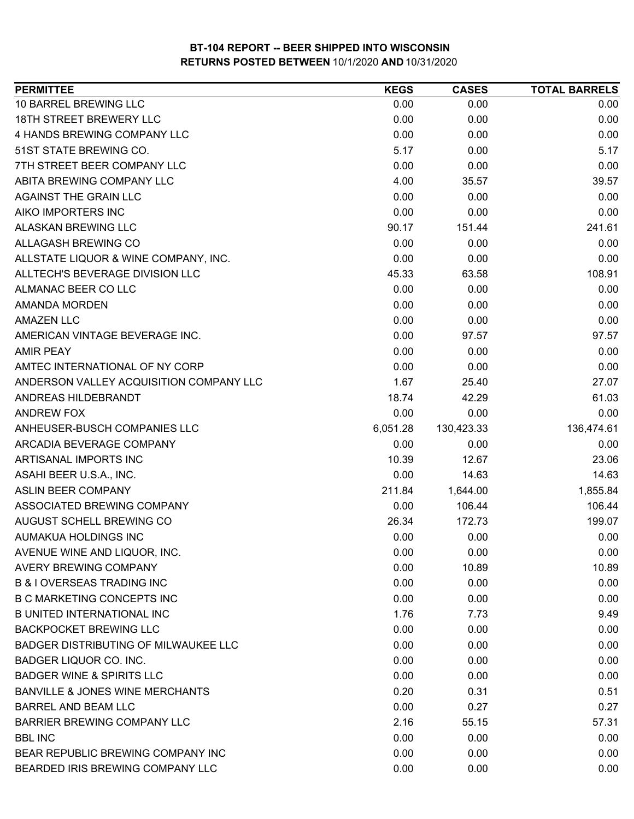| <b>PERMITTEE</b>                            | <b>KEGS</b> | <b>CASES</b> | <b>TOTAL BARRELS</b> |
|---------------------------------------------|-------------|--------------|----------------------|
| 10 BARREL BREWING LLC                       | 0.00        | 0.00         | 0.00                 |
| <b>18TH STREET BREWERY LLC</b>              | 0.00        | 0.00         | 0.00                 |
| 4 HANDS BREWING COMPANY LLC                 | 0.00        | 0.00         | 0.00                 |
| 51ST STATE BREWING CO.                      | 5.17        | 0.00         | 5.17                 |
| 7TH STREET BEER COMPANY LLC                 | 0.00        | 0.00         | 0.00                 |
| ABITA BREWING COMPANY LLC                   | 4.00        | 35.57        | 39.57                |
| <b>AGAINST THE GRAIN LLC</b>                | 0.00        | 0.00         | 0.00                 |
| AIKO IMPORTERS INC                          | 0.00        | 0.00         | 0.00                 |
| <b>ALASKAN BREWING LLC</b>                  | 90.17       | 151.44       | 241.61               |
| ALLAGASH BREWING CO                         | 0.00        | 0.00         | 0.00                 |
| ALLSTATE LIQUOR & WINE COMPANY, INC.        | 0.00        | 0.00         | 0.00                 |
| ALLTECH'S BEVERAGE DIVISION LLC             | 45.33       | 63.58        | 108.91               |
| ALMANAC BEER CO LLC                         | 0.00        | 0.00         | 0.00                 |
| <b>AMANDA MORDEN</b>                        | 0.00        | 0.00         | 0.00                 |
| <b>AMAZEN LLC</b>                           | 0.00        | 0.00         | 0.00                 |
| AMERICAN VINTAGE BEVERAGE INC.              | 0.00        | 97.57        | 97.57                |
| <b>AMIR PEAY</b>                            | 0.00        | 0.00         | 0.00                 |
| AMTEC INTERNATIONAL OF NY CORP              | 0.00        | 0.00         | 0.00                 |
| ANDERSON VALLEY ACQUISITION COMPANY LLC     | 1.67        | 25.40        | 27.07                |
| ANDREAS HILDEBRANDT                         | 18.74       | 42.29        | 61.03                |
| ANDREW FOX                                  | 0.00        | 0.00         | 0.00                 |
| ANHEUSER-BUSCH COMPANIES LLC                | 6,051.28    | 130,423.33   | 136,474.61           |
| ARCADIA BEVERAGE COMPANY                    | 0.00        | 0.00         | 0.00                 |
| ARTISANAL IMPORTS INC                       | 10.39       | 12.67        | 23.06                |
| ASAHI BEER U.S.A., INC.                     | 0.00        | 14.63        | 14.63                |
| ASLIN BEER COMPANY                          | 211.84      | 1,644.00     | 1,855.84             |
| ASSOCIATED BREWING COMPANY                  | 0.00        | 106.44       | 106.44               |
| AUGUST SCHELL BREWING CO                    | 26.34       | 172.73       | 199.07               |
| AUMAKUA HOLDINGS INC                        | 0.00        | 0.00         | 0.00                 |
| AVENUE WINE AND LIQUOR, INC.                | 0.00        | 0.00         | 0.00                 |
| AVERY BREWING COMPANY                       | 0.00        | 10.89        | 10.89                |
| <b>B &amp; I OVERSEAS TRADING INC</b>       | 0.00        | 0.00         | 0.00                 |
| <b>B C MARKETING CONCEPTS INC</b>           | 0.00        | 0.00         | 0.00                 |
| <b>B UNITED INTERNATIONAL INC</b>           | 1.76        | 7.73         | 9.49                 |
| <b>BACKPOCKET BREWING LLC</b>               | 0.00        | 0.00         | 0.00                 |
| <b>BADGER DISTRIBUTING OF MILWAUKEE LLC</b> | 0.00        | 0.00         | 0.00                 |
| BADGER LIQUOR CO. INC.                      | 0.00        | 0.00         | 0.00                 |
| <b>BADGER WINE &amp; SPIRITS LLC</b>        | 0.00        | 0.00         | 0.00                 |
| <b>BANVILLE &amp; JONES WINE MERCHANTS</b>  | 0.20        | 0.31         | 0.51                 |
| <b>BARREL AND BEAM LLC</b>                  | 0.00        | 0.27         | 0.27                 |
| <b>BARRIER BREWING COMPANY LLC</b>          | 2.16        | 55.15        | 57.31                |
| <b>BBL INC</b>                              | 0.00        | 0.00         | 0.00                 |
| BEAR REPUBLIC BREWING COMPANY INC           | 0.00        | 0.00         | 0.00                 |
| BEARDED IRIS BREWING COMPANY LLC            | 0.00        | 0.00         | 0.00                 |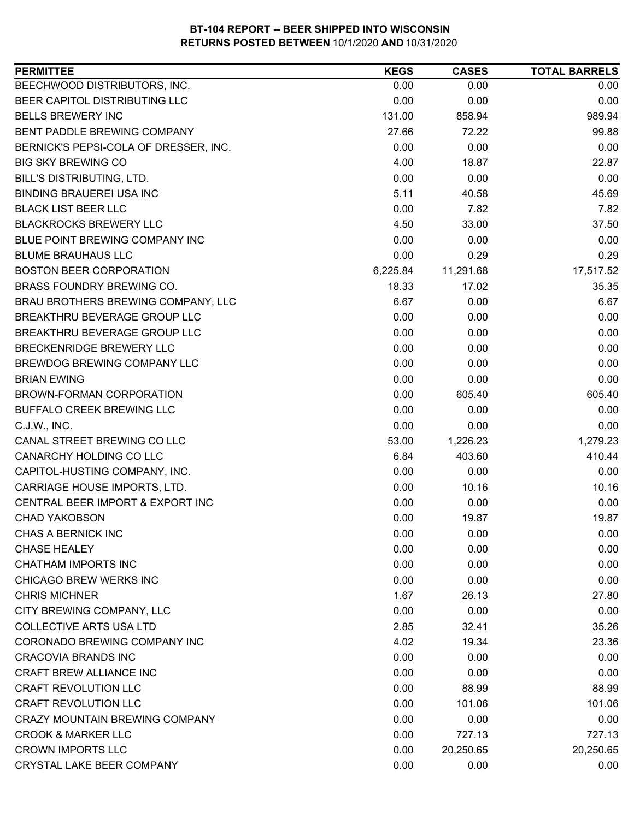| <b>KEGS</b><br><b>CASES</b><br><b>TOTAL BARRELS</b><br>BEECHWOOD DISTRIBUTORS, INC.<br>0.00<br>0.00<br>BEER CAPITOL DISTRIBUTING LLC<br>0.00<br>0.00<br>131.00<br><b>BELLS BREWERY INC</b><br>858.94<br>BENT PADDLE BREWING COMPANY<br>27.66<br>72.22<br>0.00<br>0.00<br>BERNICK'S PEPSI-COLA OF DRESSER, INC.<br><b>BIG SKY BREWING CO</b><br>4.00<br>18.87<br>BILL'S DISTRIBUTING, LTD.<br>0.00<br>0.00 | 0.00<br>0.00<br>989.94<br>99.88<br>0.00<br>22.87<br>0.00<br>45.69<br>7.82 |
|-----------------------------------------------------------------------------------------------------------------------------------------------------------------------------------------------------------------------------------------------------------------------------------------------------------------------------------------------------------------------------------------------------------|---------------------------------------------------------------------------|
|                                                                                                                                                                                                                                                                                                                                                                                                           |                                                                           |
|                                                                                                                                                                                                                                                                                                                                                                                                           |                                                                           |
|                                                                                                                                                                                                                                                                                                                                                                                                           |                                                                           |
|                                                                                                                                                                                                                                                                                                                                                                                                           |                                                                           |
|                                                                                                                                                                                                                                                                                                                                                                                                           |                                                                           |
|                                                                                                                                                                                                                                                                                                                                                                                                           |                                                                           |
|                                                                                                                                                                                                                                                                                                                                                                                                           |                                                                           |
| 5.11<br><b>BINDING BRAUEREI USA INC</b><br>40.58                                                                                                                                                                                                                                                                                                                                                          |                                                                           |
| 0.00<br><b>BLACK LIST BEER LLC</b><br>7.82                                                                                                                                                                                                                                                                                                                                                                |                                                                           |
| <b>BLACKROCKS BREWERY LLC</b><br>4.50<br>33.00                                                                                                                                                                                                                                                                                                                                                            | 37.50                                                                     |
| BLUE POINT BREWING COMPANY INC<br>0.00<br>0.00                                                                                                                                                                                                                                                                                                                                                            | 0.00                                                                      |
| 0.00<br>0.29<br><b>BLUME BRAUHAUS LLC</b>                                                                                                                                                                                                                                                                                                                                                                 | 0.29                                                                      |
| <b>BOSTON BEER CORPORATION</b><br>6,225.84<br>11,291.68<br>17,517.52                                                                                                                                                                                                                                                                                                                                      |                                                                           |
| BRASS FOUNDRY BREWING CO.<br>18.33<br>17.02                                                                                                                                                                                                                                                                                                                                                               | 35.35                                                                     |
| BRAU BROTHERS BREWING COMPANY, LLC<br>6.67<br>0.00                                                                                                                                                                                                                                                                                                                                                        | 6.67                                                                      |
| 0.00<br>BREAKTHRU BEVERAGE GROUP LLC<br>0.00                                                                                                                                                                                                                                                                                                                                                              | 0.00                                                                      |
| 0.00<br>BREAKTHRU BEVERAGE GROUP LLC<br>0.00                                                                                                                                                                                                                                                                                                                                                              | 0.00                                                                      |
| BRECKENRIDGE BREWERY LLC<br>0.00<br>0.00                                                                                                                                                                                                                                                                                                                                                                  | 0.00                                                                      |
| BREWDOG BREWING COMPANY LLC<br>0.00<br>0.00                                                                                                                                                                                                                                                                                                                                                               | 0.00                                                                      |
| <b>BRIAN EWING</b><br>0.00<br>0.00                                                                                                                                                                                                                                                                                                                                                                        | 0.00                                                                      |
| 0.00<br>605.40<br>BROWN-FORMAN CORPORATION                                                                                                                                                                                                                                                                                                                                                                | 605.40                                                                    |
| BUFFALO CREEK BREWING LLC<br>0.00<br>0.00                                                                                                                                                                                                                                                                                                                                                                 | 0.00                                                                      |
| 0.00<br>C.J.W., INC.<br>0.00                                                                                                                                                                                                                                                                                                                                                                              | 0.00                                                                      |
| CANAL STREET BREWING CO LLC<br>53.00<br>1,226.23<br>1,279.23                                                                                                                                                                                                                                                                                                                                              |                                                                           |
| CANARCHY HOLDING CO LLC<br>6.84<br>403.60                                                                                                                                                                                                                                                                                                                                                                 | 410.44                                                                    |
| CAPITOL-HUSTING COMPANY, INC.<br>0.00<br>0.00                                                                                                                                                                                                                                                                                                                                                             | 0.00                                                                      |
| CARRIAGE HOUSE IMPORTS, LTD.<br>0.00<br>10.16                                                                                                                                                                                                                                                                                                                                                             | 10.16                                                                     |
| CENTRAL BEER IMPORT & EXPORT INC<br>0.00<br>0.00                                                                                                                                                                                                                                                                                                                                                          | 0.00                                                                      |
| 0.00<br>19.87<br><b>CHAD YAKOBSON</b>                                                                                                                                                                                                                                                                                                                                                                     | 19.87                                                                     |
| <b>CHAS A BERNICK INC</b><br>0.00<br>0.00                                                                                                                                                                                                                                                                                                                                                                 | 0.00                                                                      |
| 0.00<br>0.00<br><b>CHASE HEALEY</b>                                                                                                                                                                                                                                                                                                                                                                       | 0.00                                                                      |
| <b>CHATHAM IMPORTS INC</b><br>0.00<br>0.00                                                                                                                                                                                                                                                                                                                                                                | 0.00                                                                      |
| CHICAGO BREW WERKS INC<br>0.00<br>0.00                                                                                                                                                                                                                                                                                                                                                                    | 0.00                                                                      |
| <b>CHRIS MICHNER</b><br>1.67<br>26.13                                                                                                                                                                                                                                                                                                                                                                     | 27.80                                                                     |
| 0.00<br>0.00<br>CITY BREWING COMPANY, LLC                                                                                                                                                                                                                                                                                                                                                                 | 0.00                                                                      |
| <b>COLLECTIVE ARTS USA LTD</b><br>2.85<br>32.41                                                                                                                                                                                                                                                                                                                                                           | 35.26                                                                     |
| CORONADO BREWING COMPANY INC<br>4.02<br>19.34                                                                                                                                                                                                                                                                                                                                                             | 23.36                                                                     |
| <b>CRACOVIA BRANDS INC</b><br>0.00<br>0.00                                                                                                                                                                                                                                                                                                                                                                | 0.00                                                                      |
| CRAFT BREW ALLIANCE INC<br>0.00<br>0.00                                                                                                                                                                                                                                                                                                                                                                   | 0.00                                                                      |
| <b>CRAFT REVOLUTION LLC</b><br>0.00<br>88.99                                                                                                                                                                                                                                                                                                                                                              | 88.99                                                                     |
| <b>CRAFT REVOLUTION LLC</b><br>0.00<br>101.06                                                                                                                                                                                                                                                                                                                                                             | 101.06                                                                    |
| CRAZY MOUNTAIN BREWING COMPANY<br>0.00<br>0.00                                                                                                                                                                                                                                                                                                                                                            | 0.00                                                                      |
| 0.00<br><b>CROOK &amp; MARKER LLC</b><br>727.13                                                                                                                                                                                                                                                                                                                                                           | 727.13                                                                    |
| <b>CROWN IMPORTS LLC</b><br>0.00<br>20,250.65<br>20,250.65                                                                                                                                                                                                                                                                                                                                                |                                                                           |
| CRYSTAL LAKE BEER COMPANY<br>0.00<br>0.00                                                                                                                                                                                                                                                                                                                                                                 | 0.00                                                                      |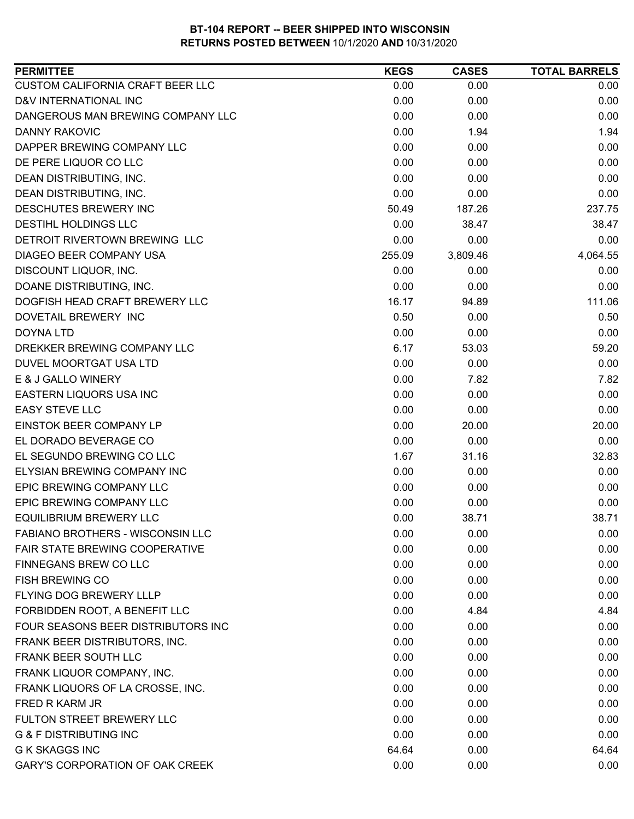| <b>PERMITTEE</b>                        | <b>KEGS</b> | <b>CASES</b> | <b>TOTAL BARRELS</b> |
|-----------------------------------------|-------------|--------------|----------------------|
| CUSTOM CALIFORNIA CRAFT BEER LLC        | 0.00        | 0.00         | 0.00                 |
| D&V INTERNATIONAL INC                   | 0.00        | 0.00         | 0.00                 |
| DANGEROUS MAN BREWING COMPANY LLC       | 0.00        | 0.00         | 0.00                 |
| <b>DANNY RAKOVIC</b>                    | 0.00        | 1.94         | 1.94                 |
| DAPPER BREWING COMPANY LLC              | 0.00        | 0.00         | 0.00                 |
| DE PERE LIQUOR CO LLC                   | 0.00        | 0.00         | 0.00                 |
| DEAN DISTRIBUTING, INC.                 | 0.00        | 0.00         | 0.00                 |
| DEAN DISTRIBUTING, INC.                 | 0.00        | 0.00         | 0.00                 |
| <b>DESCHUTES BREWERY INC</b>            | 50.49       | 187.26       | 237.75               |
| <b>DESTIHL HOLDINGS LLC</b>             | 0.00        | 38.47        | 38.47                |
| DETROIT RIVERTOWN BREWING LLC           | 0.00        | 0.00         | 0.00                 |
| DIAGEO BEER COMPANY USA                 | 255.09      | 3,809.46     | 4,064.55             |
| DISCOUNT LIQUOR, INC.                   | 0.00        | 0.00         | 0.00                 |
| DOANE DISTRIBUTING, INC.                | 0.00        | 0.00         | 0.00                 |
| DOGFISH HEAD CRAFT BREWERY LLC          | 16.17       | 94.89        | 111.06               |
| DOVETAIL BREWERY INC                    | 0.50        | 0.00         | 0.50                 |
| <b>DOYNA LTD</b>                        | 0.00        | 0.00         | 0.00                 |
| DREKKER BREWING COMPANY LLC             | 6.17        | 53.03        | 59.20                |
| DUVEL MOORTGAT USA LTD                  | 0.00        | 0.00         | 0.00                 |
| E & J GALLO WINERY                      | 0.00        | 7.82         | 7.82                 |
| EASTERN LIQUORS USA INC                 | 0.00        | 0.00         | 0.00                 |
| <b>EASY STEVE LLC</b>                   | 0.00        | 0.00         | 0.00                 |
| EINSTOK BEER COMPANY LP                 | 0.00        | 20.00        | 20.00                |
| EL DORADO BEVERAGE CO                   | 0.00        | 0.00         | 0.00                 |
| EL SEGUNDO BREWING CO LLC               | 1.67        | 31.16        | 32.83                |
| <b>ELYSIAN BREWING COMPANY INC</b>      | 0.00        | 0.00         | 0.00                 |
| EPIC BREWING COMPANY LLC                | 0.00        | 0.00         | 0.00                 |
| EPIC BREWING COMPANY LLC                | 0.00        | 0.00         | 0.00                 |
| <b>EQUILIBRIUM BREWERY LLC</b>          | 0.00        | 38.71        | 38.71                |
| <b>FABIANO BROTHERS - WISCONSIN LLC</b> | 0.00        | 0.00         | 0.00                 |
| FAIR STATE BREWING COOPERATIVE          | 0.00        | 0.00         | 0.00                 |
| FINNEGANS BREW CO LLC                   | 0.00        | 0.00         | 0.00                 |
| <b>FISH BREWING CO</b>                  | 0.00        | 0.00         | 0.00                 |
| FLYING DOG BREWERY LLLP                 | 0.00        | 0.00         | 0.00                 |
| FORBIDDEN ROOT, A BENEFIT LLC           | 0.00        | 4.84         | 4.84                 |
| FOUR SEASONS BEER DISTRIBUTORS INC      | 0.00        | 0.00         | 0.00                 |
| FRANK BEER DISTRIBUTORS, INC.           | 0.00        | 0.00         | 0.00                 |
| FRANK BEER SOUTH LLC                    | 0.00        | 0.00         | 0.00                 |
| FRANK LIQUOR COMPANY, INC.              | 0.00        | 0.00         | 0.00                 |
| FRANK LIQUORS OF LA CROSSE, INC.        | 0.00        | 0.00         | 0.00                 |
| FRED R KARM JR                          | 0.00        | 0.00         | 0.00                 |
| FULTON STREET BREWERY LLC               | 0.00        | 0.00         | 0.00                 |
| <b>G &amp; F DISTRIBUTING INC</b>       | 0.00        | 0.00         | 0.00                 |
| <b>G K SKAGGS INC</b>                   | 64.64       | 0.00         | 64.64                |
| <b>GARY'S CORPORATION OF OAK CREEK</b>  | 0.00        | 0.00         | 0.00                 |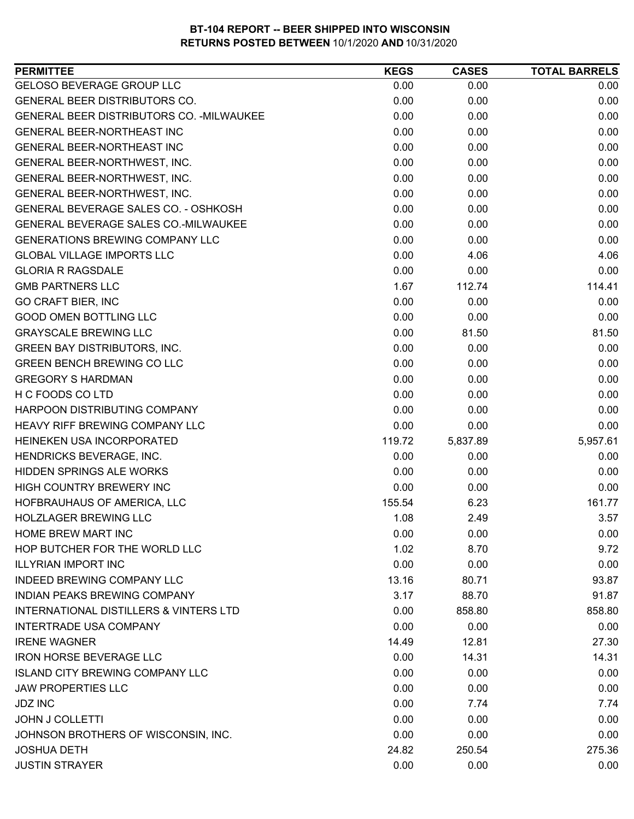| <b>PERMITTEE</b>                                  | <b>KEGS</b> | <b>CASES</b> | <b>TOTAL BARRELS</b> |
|---------------------------------------------------|-------------|--------------|----------------------|
| <b>GELOSO BEVERAGE GROUP LLC</b>                  | 0.00        | 0.00         | 0.00                 |
| <b>GENERAL BEER DISTRIBUTORS CO.</b>              | 0.00        | 0.00         | 0.00                 |
| GENERAL BEER DISTRIBUTORS CO. - MILWAUKEE         | 0.00        | 0.00         | 0.00                 |
| <b>GENERAL BEER-NORTHEAST INC</b>                 | 0.00        | 0.00         | 0.00                 |
| GENERAL BEER-NORTHEAST INC                        | 0.00        | 0.00         | 0.00                 |
| GENERAL BEER-NORTHWEST, INC.                      | 0.00        | 0.00         | 0.00                 |
| GENERAL BEER-NORTHWEST, INC.                      | 0.00        | 0.00         | 0.00                 |
| GENERAL BEER-NORTHWEST, INC.                      | 0.00        | 0.00         | 0.00                 |
| <b>GENERAL BEVERAGE SALES CO. - OSHKOSH</b>       | 0.00        | 0.00         | 0.00                 |
| GENERAL BEVERAGE SALES CO.-MILWAUKEE              | 0.00        | 0.00         | 0.00                 |
| <b>GENERATIONS BREWING COMPANY LLC</b>            | 0.00        | 0.00         | 0.00                 |
| <b>GLOBAL VILLAGE IMPORTS LLC</b>                 | 0.00        | 4.06         | 4.06                 |
| <b>GLORIA R RAGSDALE</b>                          | 0.00        | 0.00         | 0.00                 |
| <b>GMB PARTNERS LLC</b>                           | 1.67        | 112.74       | 114.41               |
| <b>GO CRAFT BIER, INC</b>                         | 0.00        | 0.00         | 0.00                 |
| <b>GOOD OMEN BOTTLING LLC</b>                     | 0.00        | 0.00         | 0.00                 |
| <b>GRAYSCALE BREWING LLC</b>                      | 0.00        | 81.50        | 81.50                |
| <b>GREEN BAY DISTRIBUTORS, INC.</b>               | 0.00        | 0.00         | 0.00                 |
| <b>GREEN BENCH BREWING CO LLC</b>                 | 0.00        | 0.00         | 0.00                 |
| <b>GREGORY S HARDMAN</b>                          | 0.00        | 0.00         | 0.00                 |
| H C FOODS CO LTD                                  | 0.00        | 0.00         | 0.00                 |
| HARPOON DISTRIBUTING COMPANY                      | 0.00        | 0.00         | 0.00                 |
| HEAVY RIFF BREWING COMPANY LLC                    | 0.00        | 0.00         | 0.00                 |
| HEINEKEN USA INCORPORATED                         | 119.72      | 5,837.89     | 5,957.61             |
| HENDRICKS BEVERAGE, INC.                          | 0.00        | 0.00         | 0.00                 |
| <b>HIDDEN SPRINGS ALE WORKS</b>                   | 0.00        | 0.00         | 0.00                 |
| HIGH COUNTRY BREWERY INC                          | 0.00        | 0.00         | 0.00                 |
| HOFBRAUHAUS OF AMERICA, LLC                       | 155.54      | 6.23         | 161.77               |
| <b>HOLZLAGER BREWING LLC</b>                      | 1.08        | 2.49         | 3.57                 |
| <b>HOME BREW MART INC</b>                         | 0.00        | 0.00         | 0.00                 |
| HOP BUTCHER FOR THE WORLD LLC                     | 1.02        | 8.70         | 9.72                 |
| <b>ILLYRIAN IMPORT INC</b>                        | 0.00        | 0.00         | 0.00                 |
| INDEED BREWING COMPANY LLC                        | 13.16       | 80.71        | 93.87                |
| <b>INDIAN PEAKS BREWING COMPANY</b>               | 3.17        | 88.70        | 91.87                |
| <b>INTERNATIONAL DISTILLERS &amp; VINTERS LTD</b> | 0.00        | 858.80       | 858.80               |
| <b>INTERTRADE USA COMPANY</b>                     | 0.00        | 0.00         | 0.00                 |
| <b>IRENE WAGNER</b>                               | 14.49       | 12.81        | 27.30                |
| <b>IRON HORSE BEVERAGE LLC</b>                    | 0.00        | 14.31        | 14.31                |
| <b>ISLAND CITY BREWING COMPANY LLC</b>            | 0.00        | 0.00         | 0.00                 |
| <b>JAW PROPERTIES LLC</b>                         | 0.00        | 0.00         | 0.00                 |
| <b>JDZ INC</b>                                    | 0.00        | 7.74         | 7.74                 |
| <b>JOHN J COLLETTI</b>                            | 0.00        | 0.00         | 0.00                 |
| JOHNSON BROTHERS OF WISCONSIN, INC.               | 0.00        | 0.00         | 0.00                 |
| <b>JOSHUA DETH</b>                                | 24.82       | 250.54       | 275.36               |
| <b>JUSTIN STRAYER</b>                             | 0.00        | 0.00         | 0.00                 |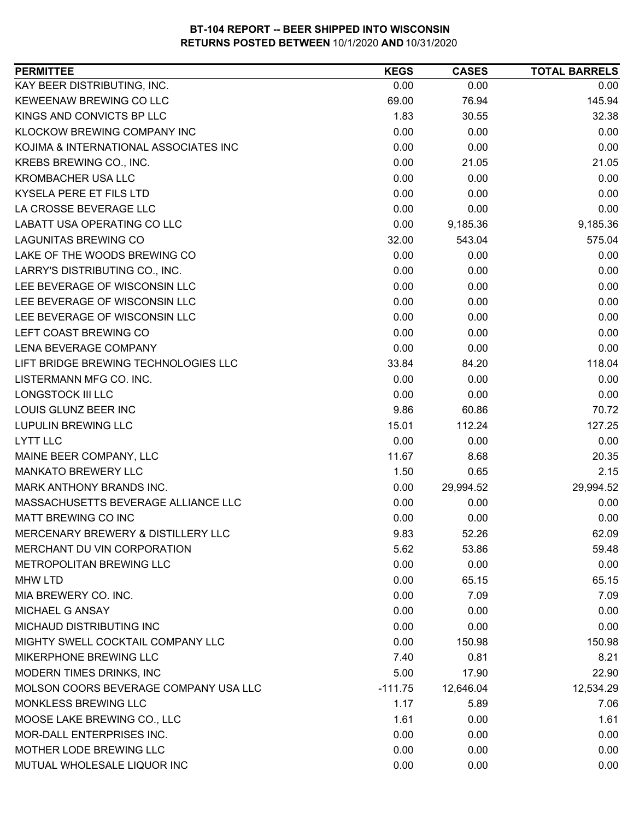| <b>PERMITTEE</b>                      | <b>KEGS</b> | <b>CASES</b> | <b>TOTAL BARRELS</b> |
|---------------------------------------|-------------|--------------|----------------------|
| KAY BEER DISTRIBUTING, INC.           | 0.00        | 0.00         | 0.00                 |
| KEWEENAW BREWING CO LLC               | 69.00       | 76.94        | 145.94               |
| KINGS AND CONVICTS BP LLC             | 1.83        | 30.55        | 32.38                |
| KLOCKOW BREWING COMPANY INC           | 0.00        | 0.00         | 0.00                 |
| KOJIMA & INTERNATIONAL ASSOCIATES INC | 0.00        | 0.00         | 0.00                 |
| KREBS BREWING CO., INC.               | 0.00        | 21.05        | 21.05                |
| KROMBACHER USA LLC                    | 0.00        | 0.00         | 0.00                 |
| <b>KYSELA PERE ET FILS LTD</b>        | 0.00        | 0.00         | 0.00                 |
| LA CROSSE BEVERAGE LLC                | 0.00        | 0.00         | 0.00                 |
| LABATT USA OPERATING CO LLC           | 0.00        | 9,185.36     | 9,185.36             |
| <b>LAGUNITAS BREWING CO</b>           | 32.00       | 543.04       | 575.04               |
| LAKE OF THE WOODS BREWING CO          | 0.00        | 0.00         | 0.00                 |
| LARRY'S DISTRIBUTING CO., INC.        | 0.00        | 0.00         | 0.00                 |
| LEE BEVERAGE OF WISCONSIN LLC         | 0.00        | 0.00         | 0.00                 |
| LEE BEVERAGE OF WISCONSIN LLC         | 0.00        | 0.00         | 0.00                 |
| LEE BEVERAGE OF WISCONSIN LLC         | 0.00        | 0.00         | 0.00                 |
| LEFT COAST BREWING CO                 | 0.00        | 0.00         | 0.00                 |
| <b>LENA BEVERAGE COMPANY</b>          | 0.00        | 0.00         | 0.00                 |
| LIFT BRIDGE BREWING TECHNOLOGIES LLC  | 33.84       | 84.20        | 118.04               |
| LISTERMANN MFG CO. INC.               | 0.00        | 0.00         | 0.00                 |
| LONGSTOCK III LLC                     | 0.00        | 0.00         | 0.00                 |
| LOUIS GLUNZ BEER INC                  | 9.86        | 60.86        | 70.72                |
| <b>LUPULIN BREWING LLC</b>            | 15.01       | 112.24       | 127.25               |
| <b>LYTT LLC</b>                       | 0.00        | 0.00         | 0.00                 |
| MAINE BEER COMPANY, LLC               | 11.67       | 8.68         | 20.35                |
| <b>MANKATO BREWERY LLC</b>            | 1.50        | 0.65         | 2.15                 |
| MARK ANTHONY BRANDS INC.              | 0.00        | 29,994.52    | 29,994.52            |
| MASSACHUSETTS BEVERAGE ALLIANCE LLC   | 0.00        | 0.00         | 0.00                 |
| <b>MATT BREWING CO INC</b>            | 0.00        | 0.00         | 0.00                 |
| MERCENARY BREWERY & DISTILLERY LLC    | 9.83        | 52.26        | 62.09                |
| MERCHANT DU VIN CORPORATION           | 5.62        | 53.86        | 59.48                |
| METROPOLITAN BREWING LLC              | 0.00        | 0.00         | 0.00                 |
| <b>MHW LTD</b>                        | 0.00        | 65.15        | 65.15                |
| MIA BREWERY CO. INC.                  | 0.00        | 7.09         | 7.09                 |
| MICHAEL G ANSAY                       | 0.00        | 0.00         | 0.00                 |
| MICHAUD DISTRIBUTING INC              | 0.00        | 0.00         | 0.00                 |
| MIGHTY SWELL COCKTAIL COMPANY LLC     | 0.00        | 150.98       | 150.98               |
| MIKERPHONE BREWING LLC                | 7.40        | 0.81         | 8.21                 |
| MODERN TIMES DRINKS, INC              | 5.00        | 17.90        | 22.90                |
| MOLSON COORS BEVERAGE COMPANY USA LLC | $-111.75$   | 12,646.04    | 12,534.29            |
| MONKLESS BREWING LLC                  | 1.17        | 5.89         | 7.06                 |
| MOOSE LAKE BREWING CO., LLC           | 1.61        | 0.00         | 1.61                 |
| MOR-DALL ENTERPRISES INC.             | 0.00        | 0.00         | 0.00                 |
| MOTHER LODE BREWING LLC               | 0.00        | 0.00         | 0.00                 |
| MUTUAL WHOLESALE LIQUOR INC           | 0.00        | 0.00         | 0.00                 |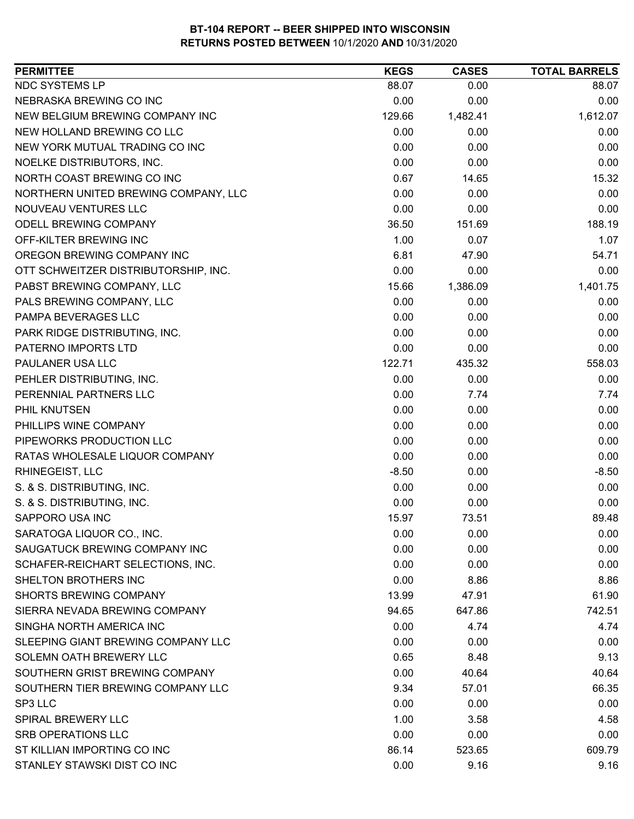| <b>PERMITTEE</b>                     | <b>KEGS</b> | <b>CASES</b> | <b>TOTAL BARRELS</b> |
|--------------------------------------|-------------|--------------|----------------------|
| NDC SYSTEMS LP                       | 88.07       | 0.00         | 88.07                |
| NEBRASKA BREWING CO INC              | 0.00        | 0.00         | 0.00                 |
| NEW BELGIUM BREWING COMPANY INC      | 129.66      | 1,482.41     | 1,612.07             |
| NEW HOLLAND BREWING CO LLC           | 0.00        | 0.00         | 0.00                 |
| NEW YORK MUTUAL TRADING CO INC       | 0.00        | 0.00         | 0.00                 |
| NOELKE DISTRIBUTORS, INC.            | 0.00        | 0.00         | 0.00                 |
| NORTH COAST BREWING CO INC           | 0.67        | 14.65        | 15.32                |
| NORTHERN UNITED BREWING COMPANY, LLC | 0.00        | 0.00         | 0.00                 |
| NOUVEAU VENTURES LLC                 | 0.00        | 0.00         | 0.00                 |
| ODELL BREWING COMPANY                | 36.50       | 151.69       | 188.19               |
| OFF-KILTER BREWING INC               | 1.00        | 0.07         | 1.07                 |
| OREGON BREWING COMPANY INC           | 6.81        | 47.90        | 54.71                |
| OTT SCHWEITZER DISTRIBUTORSHIP, INC. | 0.00        | 0.00         | 0.00                 |
| PABST BREWING COMPANY, LLC           | 15.66       | 1,386.09     | 1,401.75             |
| PALS BREWING COMPANY, LLC            | 0.00        | 0.00         | 0.00                 |
| PAMPA BEVERAGES LLC                  | 0.00        | 0.00         | 0.00                 |
| PARK RIDGE DISTRIBUTING, INC.        | 0.00        | 0.00         | 0.00                 |
| PATERNO IMPORTS LTD                  | 0.00        | 0.00         | 0.00                 |
| PAULANER USA LLC                     | 122.71      | 435.32       | 558.03               |
| PEHLER DISTRIBUTING, INC.            | 0.00        | 0.00         | 0.00                 |
| PERENNIAL PARTNERS LLC               | 0.00        | 7.74         | 7.74                 |
| PHIL KNUTSEN                         | 0.00        | 0.00         | 0.00                 |
| PHILLIPS WINE COMPANY                | 0.00        | 0.00         | 0.00                 |
| PIPEWORKS PRODUCTION LLC             | 0.00        | 0.00         | 0.00                 |
| RATAS WHOLESALE LIQUOR COMPANY       | 0.00        | 0.00         | 0.00                 |
| RHINEGEIST, LLC                      | $-8.50$     | 0.00         | $-8.50$              |
| S. & S. DISTRIBUTING, INC.           | 0.00        | 0.00         | 0.00                 |
| S. & S. DISTRIBUTING, INC.           | 0.00        | 0.00         | 0.00                 |
| SAPPORO USA INC                      | 15.97       | 73.51        | 89.48                |
| SARATOGA LIQUOR CO., INC.            | 0.00        | 0.00         | 0.00                 |
| SAUGATUCK BREWING COMPANY INC        | 0.00        | 0.00         | 0.00                 |
| SCHAFER-REICHART SELECTIONS, INC.    | 0.00        | 0.00         | 0.00                 |
| SHELTON BROTHERS INC                 | 0.00        | 8.86         | 8.86                 |
| <b>SHORTS BREWING COMPANY</b>        | 13.99       | 47.91        | 61.90                |
| SIERRA NEVADA BREWING COMPANY        | 94.65       | 647.86       | 742.51               |
| SINGHA NORTH AMERICA INC             | 0.00        | 4.74         | 4.74                 |
| SLEEPING GIANT BREWING COMPANY LLC   | 0.00        | 0.00         | 0.00                 |
| SOLEMN OATH BREWERY LLC              | 0.65        | 8.48         | 9.13                 |
| SOUTHERN GRIST BREWING COMPANY       | 0.00        | 40.64        | 40.64                |
| SOUTHERN TIER BREWING COMPANY LLC    | 9.34        | 57.01        | 66.35                |
| SP3 LLC                              | 0.00        | 0.00         | 0.00                 |
| <b>SPIRAL BREWERY LLC</b>            | 1.00        | 3.58         | 4.58                 |
| SRB OPERATIONS LLC                   | 0.00        | 0.00         | 0.00                 |
| ST KILLIAN IMPORTING CO INC          | 86.14       | 523.65       | 609.79               |
| STANLEY STAWSKI DIST CO INC          | 0.00        | 9.16         | 9.16                 |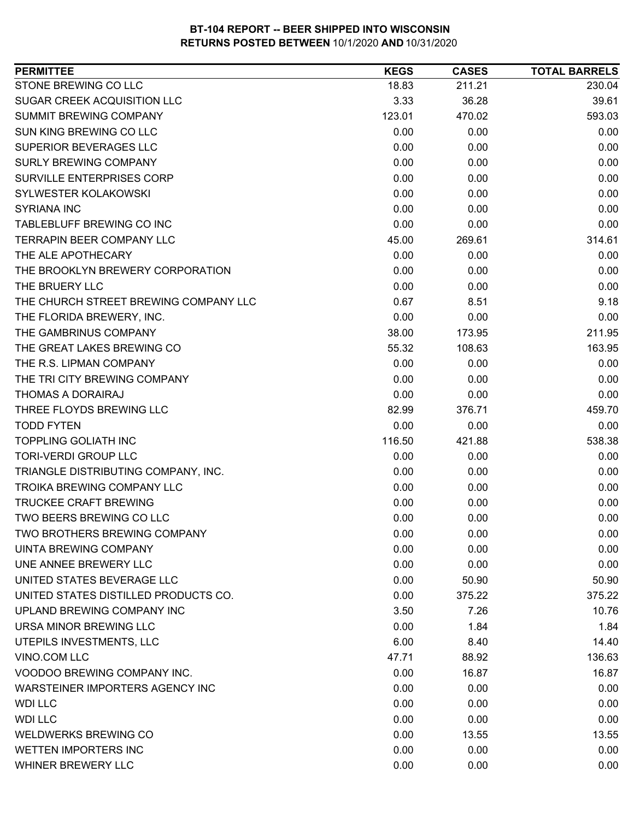| <b>PERMITTEE</b>                      | <b>KEGS</b> | <b>CASES</b> | <b>TOTAL BARRELS</b> |
|---------------------------------------|-------------|--------------|----------------------|
| STONE BREWING CO LLC                  | 18.83       | 211.21       | 230.04               |
| SUGAR CREEK ACQUISITION LLC           | 3.33        | 36.28        | 39.61                |
| SUMMIT BREWING COMPANY                | 123.01      | 470.02       | 593.03               |
| SUN KING BREWING CO LLC               | 0.00        | 0.00         | 0.00                 |
| SUPERIOR BEVERAGES LLC                | 0.00        | 0.00         | 0.00                 |
| <b>SURLY BREWING COMPANY</b>          | 0.00        | 0.00         | 0.00                 |
| SURVILLE ENTERPRISES CORP             | 0.00        | 0.00         | 0.00                 |
| SYLWESTER KOLAKOWSKI                  | 0.00        | 0.00         | 0.00                 |
| <b>SYRIANA INC</b>                    | 0.00        | 0.00         | 0.00                 |
| TABLEBLUFF BREWING CO INC             | 0.00        | 0.00         | 0.00                 |
| <b>TERRAPIN BEER COMPANY LLC</b>      | 45.00       | 269.61       | 314.61               |
| THE ALE APOTHECARY                    | 0.00        | 0.00         | 0.00                 |
| THE BROOKLYN BREWERY CORPORATION      | 0.00        | 0.00         | 0.00                 |
| THE BRUERY LLC                        | 0.00        | 0.00         | 0.00                 |
| THE CHURCH STREET BREWING COMPANY LLC | 0.67        | 8.51         | 9.18                 |
| THE FLORIDA BREWERY, INC.             | 0.00        | 0.00         | 0.00                 |
| THE GAMBRINUS COMPANY                 | 38.00       | 173.95       | 211.95               |
| THE GREAT LAKES BREWING CO            | 55.32       | 108.63       | 163.95               |
| THE R.S. LIPMAN COMPANY               | 0.00        | 0.00         | 0.00                 |
| THE TRI CITY BREWING COMPANY          | 0.00        | 0.00         | 0.00                 |
| THOMAS A DORAIRAJ                     | 0.00        | 0.00         | 0.00                 |
| THREE FLOYDS BREWING LLC              | 82.99       | 376.71       | 459.70               |
| <b>TODD FYTEN</b>                     | 0.00        | 0.00         | 0.00                 |
| <b>TOPPLING GOLIATH INC</b>           | 116.50      | 421.88       | 538.38               |
| <b>TORI-VERDI GROUP LLC</b>           | 0.00        | 0.00         | 0.00                 |
| TRIANGLE DISTRIBUTING COMPANY, INC.   | 0.00        | 0.00         | 0.00                 |
| <b>TROIKA BREWING COMPANY LLC</b>     | 0.00        | 0.00         | 0.00                 |
| <b>TRUCKEE CRAFT BREWING</b>          | 0.00        | 0.00         | 0.00                 |
| TWO BEERS BREWING CO LLC              | 0.00        | 0.00         | 0.00                 |
| TWO BROTHERS BREWING COMPANY          | 0.00        | 0.00         | 0.00                 |
| <b>UINTA BREWING COMPANY</b>          | 0.00        | 0.00         | 0.00                 |
| UNE ANNEE BREWERY LLC                 | 0.00        | 0.00         | 0.00                 |
| UNITED STATES BEVERAGE LLC            | 0.00        | 50.90        | 50.90                |
| UNITED STATES DISTILLED PRODUCTS CO.  | 0.00        | 375.22       | 375.22               |
| UPLAND BREWING COMPANY INC            | 3.50        | 7.26         | 10.76                |
| URSA MINOR BREWING LLC                | 0.00        | 1.84         | 1.84                 |
| UTEPILS INVESTMENTS, LLC              | 6.00        | 8.40         | 14.40                |
| VINO.COM LLC                          | 47.71       | 88.92        | 136.63               |
| VOODOO BREWING COMPANY INC.           | 0.00        | 16.87        | 16.87                |
| WARSTEINER IMPORTERS AGENCY INC       | 0.00        | 0.00         | 0.00                 |
| <b>WDI LLC</b>                        | 0.00        | 0.00         | 0.00                 |
| <b>WDI LLC</b>                        | 0.00        | 0.00         | 0.00                 |
| <b>WELDWERKS BREWING CO</b>           | 0.00        | 13.55        | 13.55                |
| <b>WETTEN IMPORTERS INC</b>           | 0.00        | 0.00         | 0.00                 |
| WHINER BREWERY LLC                    | 0.00        | 0.00         | 0.00                 |
|                                       |             |              |                      |